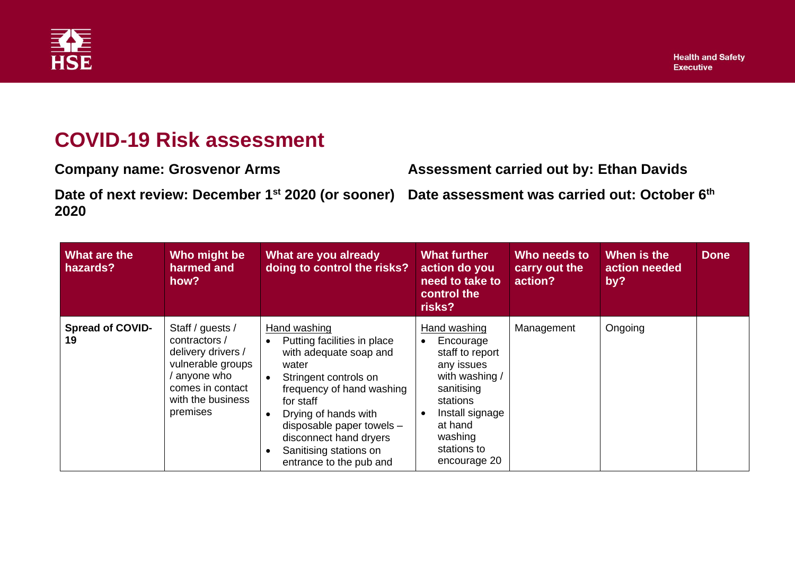

## **COVID-19 Risk assessment**

**Company name: Grosvenor Arms Assessment carried out by: Ethan Davids** Date of next review: December 1<sup>st</sup> 2020 (or sooner) Date assessment was carried out: October 6<sup>th</sup> **2020**

| What are the<br>hazards?      | Who might be<br>harmed and<br>how?                                                                                                              | What are you already<br>doing to control the risks?                                                                                                                                                                                                                                                | <b>What further</b><br>action do you<br>need to take to<br>control the<br>risks?                                                                                                                         | Who needs to<br>carry out the<br>action? | When is the<br>action needed<br>by? | <b>Done</b> |
|-------------------------------|-------------------------------------------------------------------------------------------------------------------------------------------------|----------------------------------------------------------------------------------------------------------------------------------------------------------------------------------------------------------------------------------------------------------------------------------------------------|----------------------------------------------------------------------------------------------------------------------------------------------------------------------------------------------------------|------------------------------------------|-------------------------------------|-------------|
| <b>Spread of COVID-</b><br>19 | Staff / guests /<br>contractors /<br>delivery drivers /<br>vulnerable groups<br>anyone who<br>comes in contact<br>with the business<br>premises | Hand washing<br>Putting facilities in place<br>with adequate soap and<br>water<br>Stringent controls on<br>frequency of hand washing<br>for staff<br>Drying of hands with<br>$\bullet$<br>disposable paper towels -<br>disconnect hand dryers<br>Sanitising stations on<br>entrance to the pub and | Hand washing<br>Encourage<br>$\bullet$<br>staff to report<br>any issues<br>with washing /<br>sanitising<br>stations<br>Install signage<br>$\bullet$<br>at hand<br>washing<br>stations to<br>encourage 20 | Management                               | Ongoing                             |             |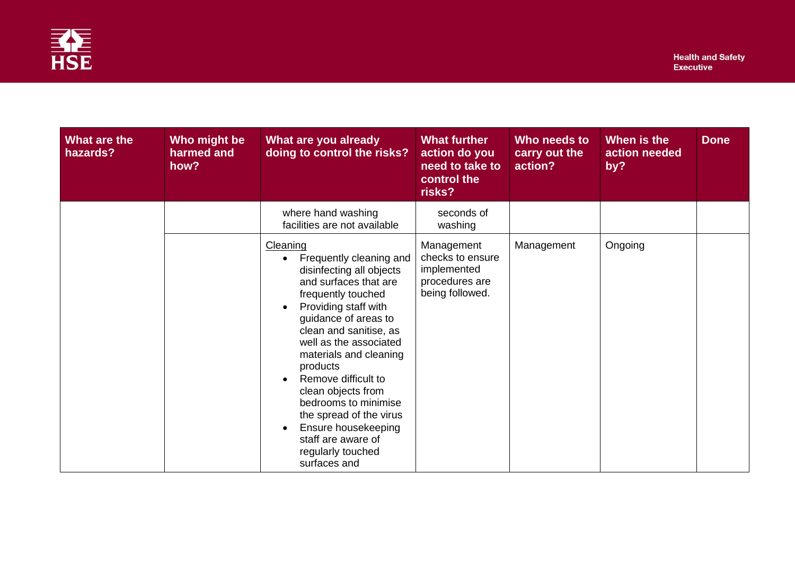

| What are the<br>hazards? | Who might be<br>harmed and<br>how? | What are you already<br>doing to control the risks?                                                                                                                                                                                                                                                                                                                                                                                                                               | <b>What further</b><br>action do you<br>need to take to<br>control the<br>risks?   | Who needs to<br>carry out the<br>action? | When is the<br>action needed<br>by? | <b>Done</b> |
|--------------------------|------------------------------------|-----------------------------------------------------------------------------------------------------------------------------------------------------------------------------------------------------------------------------------------------------------------------------------------------------------------------------------------------------------------------------------------------------------------------------------------------------------------------------------|------------------------------------------------------------------------------------|------------------------------------------|-------------------------------------|-------------|
|                          |                                    | where hand washing<br>facilities are not available                                                                                                                                                                                                                                                                                                                                                                                                                                | seconds of<br>washing                                                              |                                          |                                     |             |
|                          |                                    | Cleaning<br>Frequently cleaning and<br>$\bullet$<br>disinfecting all objects<br>and surfaces that are<br>frequently touched<br>Providing staff with<br>$\bullet$<br>guidance of areas to<br>clean and sanitise, as<br>well as the associated<br>materials and cleaning<br>products<br>Remove difficult to<br>$\bullet$<br>clean objects from<br>bedrooms to minimise<br>the spread of the virus<br>Ensure housekeeping<br>staff are aware of<br>regularly touched<br>surfaces and | Management<br>checks to ensure<br>implemented<br>procedures are<br>being followed. | Management                               | Ongoing                             |             |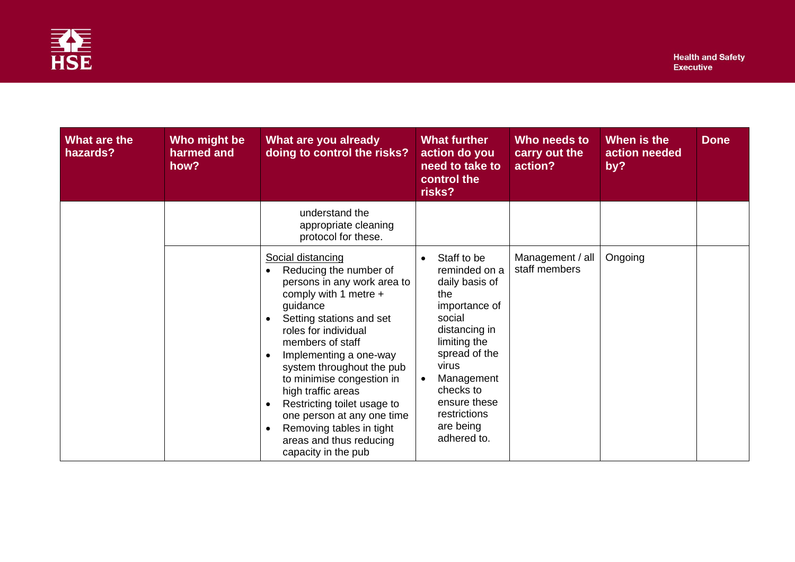

| What are the<br>hazards? | Who might be<br>harmed and<br>how? | What are you already<br>doing to control the risks?                                                                                                                                                                                                                                                                                                                                                                                                                                                           | <b>What further</b><br>action do you<br>need to take to<br>control the<br>risks?                                                                                                                                                   | Who needs to<br>carry out the<br>action? | When is the<br>action needed<br>by? | <b>Done</b> |
|--------------------------|------------------------------------|---------------------------------------------------------------------------------------------------------------------------------------------------------------------------------------------------------------------------------------------------------------------------------------------------------------------------------------------------------------------------------------------------------------------------------------------------------------------------------------------------------------|------------------------------------------------------------------------------------------------------------------------------------------------------------------------------------------------------------------------------------|------------------------------------------|-------------------------------------|-------------|
|                          |                                    | understand the<br>appropriate cleaning<br>protocol for these.                                                                                                                                                                                                                                                                                                                                                                                                                                                 |                                                                                                                                                                                                                                    |                                          |                                     |             |
|                          |                                    | Social distancing<br>Reducing the number of<br>$\bullet$<br>persons in any work area to<br>comply with 1 metre +<br>guidance<br>Setting stations and set<br>$\bullet$<br>roles for individual<br>members of staff<br>Implementing a one-way<br>$\bullet$<br>system throughout the pub<br>to minimise congestion in<br>high traffic areas<br>Restricting toilet usage to<br>$\bullet$<br>one person at any one time<br>Removing tables in tight<br>$\bullet$<br>areas and thus reducing<br>capacity in the pub | Staff to be<br>reminded on a<br>daily basis of<br>the<br>importance of<br>social<br>distancing in<br>limiting the<br>spread of the<br>virus<br>Management<br>checks to<br>ensure these<br>restrictions<br>are being<br>adhered to. | Management / all<br>staff members        | Ongoing                             |             |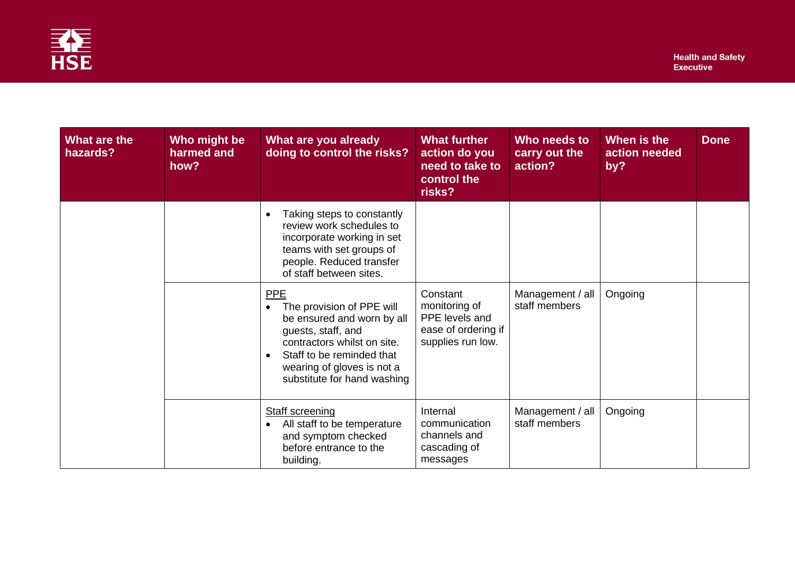

| What are the<br>hazards? | Who might be<br>harmed and<br>how? | What are you already<br>doing to control the risks?                                                                                                                                                                                            | <b>What further</b><br>action do you<br>need to take to<br>control the<br>risks?        | Who needs to<br>carry out the<br>action? | When is the<br>action needed<br>by? | <b>Done</b> |
|--------------------------|------------------------------------|------------------------------------------------------------------------------------------------------------------------------------------------------------------------------------------------------------------------------------------------|-----------------------------------------------------------------------------------------|------------------------------------------|-------------------------------------|-------------|
|                          |                                    | Taking steps to constantly<br>$\bullet$<br>review work schedules to<br>incorporate working in set<br>teams with set groups of<br>people. Reduced transfer<br>of staff between sites.                                                           |                                                                                         |                                          |                                     |             |
|                          |                                    | <b>PPE</b><br>The provision of PPE will<br>$\bullet$<br>be ensured and worn by all<br>guests, staff, and<br>contractors whilst on site.<br>Staff to be reminded that<br>$\bullet$<br>wearing of gloves is not a<br>substitute for hand washing | Constant<br>monitoring of<br>PPE levels and<br>ease of ordering if<br>supplies run low. | Management / all<br>staff members        | Ongoing                             |             |
|                          |                                    | <b>Staff screening</b><br>All staff to be temperature<br>and symptom checked<br>before entrance to the<br>building.                                                                                                                            | Internal<br>communication<br>channels and<br>cascading of<br>messages                   | Management / all<br>staff members        | Ongoing                             |             |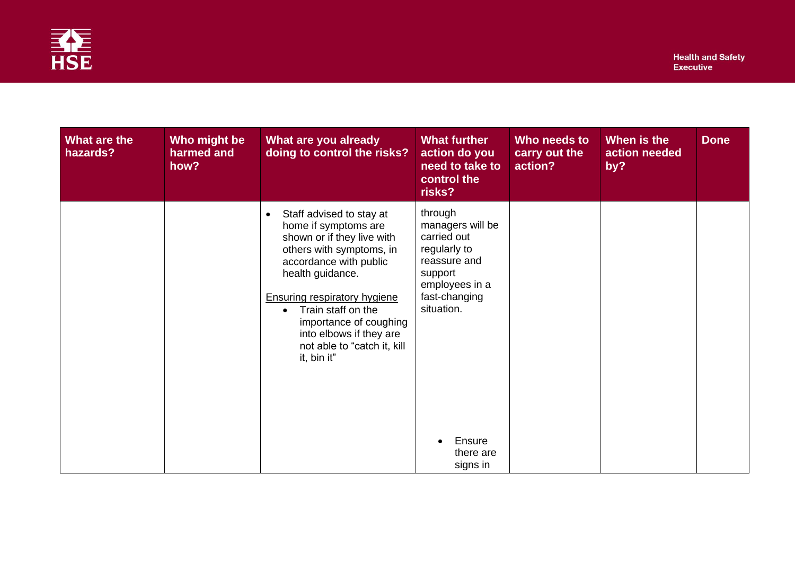

| What are the<br>hazards? | Who might be<br>harmed and<br>how? | What are you already<br>doing to control the risks?                                                                                                                                                                                                                                                                                                | <b>What further</b><br>action do you<br>need to take to<br>control the<br>risks?                                                                                          | Who needs to<br>carry out the<br>action? | When is the<br>action needed<br>by? | <b>Done</b> |
|--------------------------|------------------------------------|----------------------------------------------------------------------------------------------------------------------------------------------------------------------------------------------------------------------------------------------------------------------------------------------------------------------------------------------------|---------------------------------------------------------------------------------------------------------------------------------------------------------------------------|------------------------------------------|-------------------------------------|-------------|
|                          |                                    | Staff advised to stay at<br>$\bullet$<br>home if symptoms are<br>shown or if they live with<br>others with symptoms, in<br>accordance with public<br>health guidance.<br><b>Ensuring respiratory hygiene</b><br>Train staff on the<br>$\bullet$<br>importance of coughing<br>into elbows if they are<br>not able to "catch it, kill<br>it, bin it" | through<br>managers will be<br>carried out<br>regularly to<br>reassure and<br>support<br>employees in a<br>fast-changing<br>situation.<br>Ensure<br>there are<br>signs in |                                          |                                     |             |